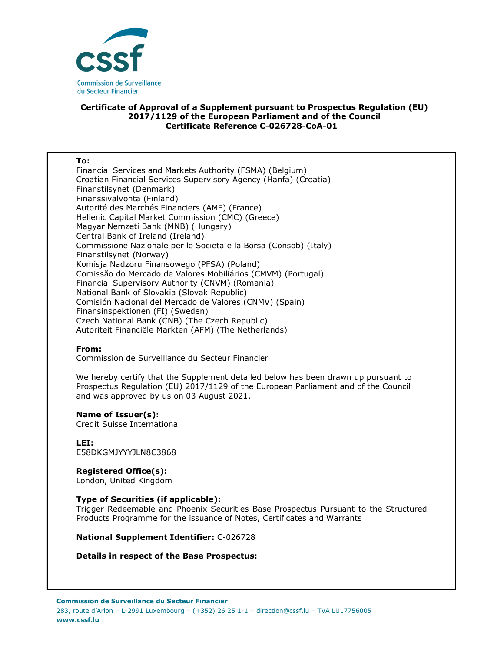

## **Certificate of Approval of a Supplement pursuant to Prospectus Regulation (EU) 2017/1129 of the European Parliament and of the Council Certificate Reference C-026728-CoA-01**

### **To:**

Financial Services and Markets Authority (FSMA) (Belgium) Croatian Financial Services Supervisory Agency (Hanfa) (Croatia) Finanstilsynet (Denmark) Finanssivalvonta (Finland) Autorité des Marchés Financiers (AMF) (France) Hellenic Capital Market Commission (CMC) (Greece) Magyar Nemzeti Bank (MNB) (Hungary) Central Bank of Ireland (Ireland) Commissione Nazionale per le Societa e la Borsa (Consob) (Italy) Finanstilsynet (Norway) Komisja Nadzoru Finansowego (PFSA) (Poland) Comissão do Mercado de Valores Mobiliários (CMVM) (Portugal) Financial Supervisory Authority (CNVM) (Romania) National Bank of Slovakia (Slovak Republic) Comisión Nacional del Mercado de Valores (CNMV) (Spain) Finansinspektionen (FI) (Sweden) Czech National Bank (CNB) (The Czech Republic) Autoriteit Financiële Markten (AFM) (The Netherlands)

## **From:**

Commission de Surveillance du Secteur Financier

We hereby certify that the Supplement detailed below has been drawn up pursuant to Prospectus Regulation (EU) 2017/1129 of the European Parliament and of the Council and was approved by us on 03 August 2021.

#### **Name of Issuer(s):**

Credit Suisse International

**LEI:** E58DKGMJYYYJLN8C3868

# **Registered Office(s):**

London, United Kingdom

## **Type of Securities (if applicable):**

Trigger Redeemable and Phoenix Securities Base Prospectus Pursuant to the Structured Products Programme for the issuance of Notes, Certificates and Warrants

**National Supplement Identifier:** C-026728

## **Details in respect of the Base Prospectus:**